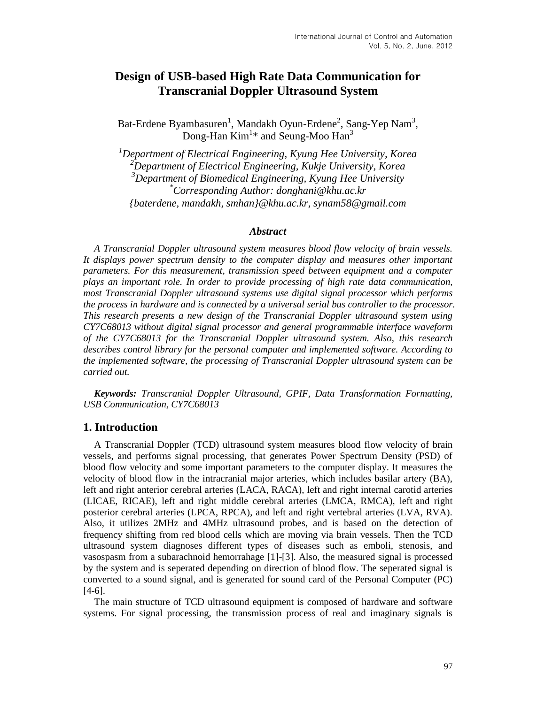# **Design of USB-based High Rate Data Communication for Transcranial Doppler Ultrasound System**

Bat-Erdene Byambasuren<sup>1</sup>, Mandakh Oyun-Erdene<sup>2</sup>, Sang-Yep Nam<sup>3</sup>, Dong-Han  $Kim^{1*}$  and Seung-Moo Han<sup>3</sup>

*<sup>1</sup>Department of Electrical Engineering, Kyung Hee University, Korea <sup>2</sup>Department of Electrical Engineering, Kukje University, Korea <sup>3</sup>Department of Biomedical Engineering, Kyung Hee University \*Corresponding Author: donghani@khu.ac.kr {baterdene, mandakh, smhan}@khu.ac.kr, synam58@gmail.com*

#### *Abstract*

*A Transcranial Doppler ultrasound system measures blood flow velocity of brain vessels. It displays power spectrum density to the computer display and measures other important parameters. For this measurement, transmission speed between equipment and a computer plays an important role. In order to provide processing of high rate data communication, most Transcranial Doppler ultrasound systems use digital signal processor which performs the process in hardware and is connected by a universal serial bus controller to the processor. This research presents a new design of the Transcranial Doppler ultrasound system using CY7C68013 without digital signal processor and general programmable interface waveform of the CY7C68013 for the Transcranial Doppler ultrasound system. Also, this research describes control library for the personal computer and implemented software. According to the implemented software, the processing of Transcranial Doppler ultrasound system can be carried out.* 

*Keywords: Transcranial Doppler Ultrasound, GPIF, Data Transformation Formatting, USB Communication, CY7C68013*

### **1. Introduction**

A Transcranial Doppler (TCD) ultrasound system measures blood flow velocity of brain vessels, and performs signal processing, that generates Power Spectrum Density (PSD) of blood flow velocity and some important parameters to the computer display. It measures the velocity of blood flow in the intracranial major arteries, which includes basilar artery (BA), left and right anterior cerebral arteries (LACA, RACA), left and right internal carotid arteries (LICAE, RICAE), left and right middle cerebral arteries (LMCA, RMCA), leftiand right posterior cerebral arteries (LPCA, RPCA), and left and right vertebral arteries (LVA, RVA). Also, it utilizes 2MHz and 4MHz ultrasound probes, and is based on the detection of frequency shifting from red blood cells which are moving via brain vessels. Then the TCD ultrasound system diagnoses different types of diseases such as emboli, stenosis, and vasospasm from a subarachnoid hemorrahage [1]-[3]. Also, the measured signal is processed by the system and is seperated depending on direction of blood flow. The seperated signal is converted to a sound signal, and is generated for sound card of the Personal Computer (PC) [4-6].

The main structure of TCD ultrasound equipment is composed of hardware and software systems. For signal processing, the transmission process of real and imaginary signals is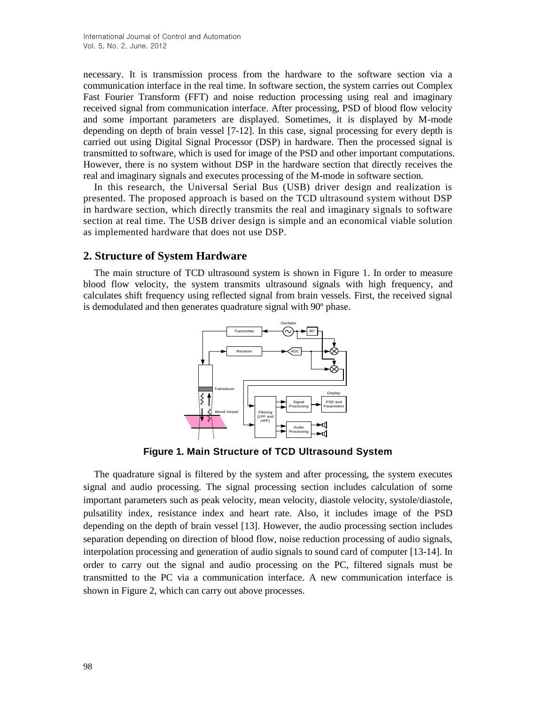necessary. It is transmission process from the hardware to the software section via a communication interface in the real time. In software section, the system carries out Complex Fast Fourier Transform (FFT) and noise reduction processing using real and imaginary received signal from communication interface. After processing, PSD of blood flow velocity and some important parameters are displayed. Sometimes, it is displayed by M-mode depending on depth of brain vessel [7-12]. In this case, signal processing for every depth is carried out using Digital Signal Processor (DSP) in hardware. Then the processed signal is transmitted to software, which is used for image of the PSD and other important computations. However, there is no system without DSP in the hardware section that directly receives the real and imaginary signals and executes processing of the M-mode in software section.

In this research, the Universal Serial Bus (USB) driver design and realization is presented. The proposed approach is based on the TCD ultrasound system without DSP in hardware section, which directly transmits the real and imaginary signals to software section at real time. The USB driver design is simple and an economical viable solution as implemented hardware that does not use DSP.

# **2. Structure of System Hardware**

The main structure of TCD ultrasound system is shown in Figure 1. In order to measure blood flow velocity, the system transmits ultrasound signals with high frequency, and calculates shift frequency using reflected signal from brain vessels. First, the received signal is demodulated and then generates quadrature signal with 90º phase.



**Figure 1. Main Structure of TCD Ultrasound System**

The quadrature signal is filtered by the system and after processing, the system executes signal and audio processing. The signal processing section includes calculation of some important parameters such as peak velocity, mean velocity, diastole velocity, systole/diastole, pulsatility index, resistance index and heart rate. Also, it includes image of the PSD depending on the depth of brain vessel [13]. However, the audio processing section includes separation depending on direction of blood flow, noise reduction processing of audio signals, interpolation processing and generation of audio signals to sound card of computer [13-14]. In order to carry out the signal and audio processing on the PC, filtered signals must be transmitted to the PC via a communication interface. A new communication interface is shown in Figure 2, which can carry out above processes.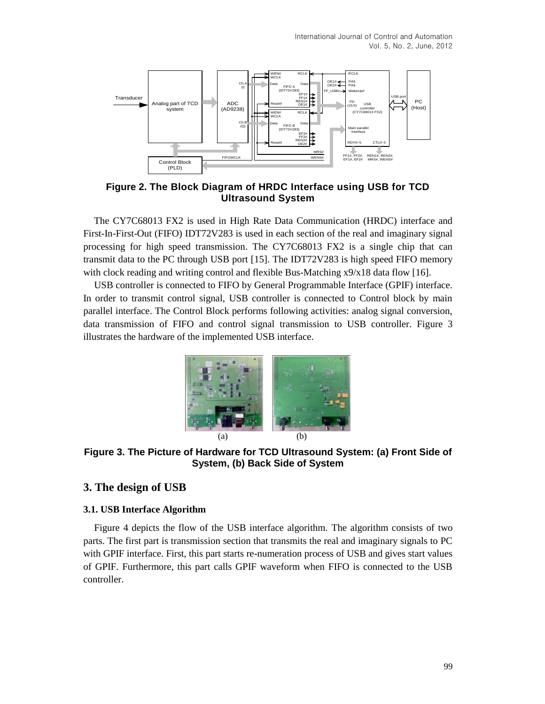

**Figure 2. The Block Diagram of HRDC Interface using USB for TCD Ultrasound System**

The CY7C68013 FX2 is used in High Rate Data Communication (HRDC) interface and First-In-First-Out (FIFO) IDT72V283 is used in each section of the real and imaginary signal processing for high speed transmission. The CY7C68013 FX2 is a single chip that can transmit data to the PC through USB port [15]. The IDT72V283 is high speed FIFO memory with clock reading and writing control and flexible Bus-Matching x9/x18 data flow [16].

USB controller is connected to FIFO by General Programmable Interface (GPIF) interface. In order to transmit control signal, USB controller is connected to Control block by main parallel interface. The Control Block performs following activities: analog signal conversion, data transmission of FIFO and control signal transmission to USB controller. Figure 3 illustrates the hardware of the implemented USB interface.



**Figure 3. The Picture of Hardware for TCD Ultrasound System: (a) Front Side of System, (b) Back Side of System**

# **3. The design of USB**

#### **3.1. USB Interface Algorithm**

Figure 4 depicts the flow of the USB interface algorithm. The algorithm consists of two parts. The first part is transmission section that transmits the real and imaginary signals to PC with GPIF interface. First, this part starts re-numeration process of USB and gives start values of GPIF. Furthermore, this part calls GPIF waveform when FIFO is connected to the USB controller.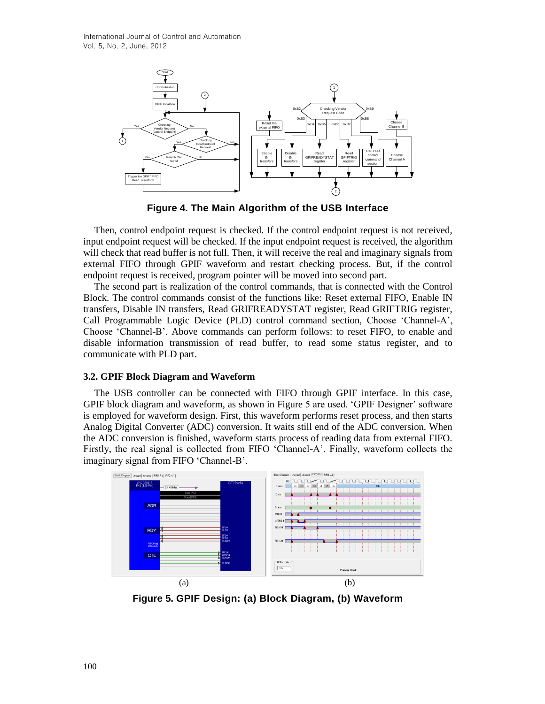

**Figure 4. The Main Algorithm of the USB Interface**

Then, control endpoint request is checked. If the control endpoint request is not received, input endpoint request will be checked. If the input endpoint request is received, the algorithm will check that read buffer is not full. Then, it will receive the real and imaginary signals from external FIFO through GPIF waveform and restart checking process. But, if the control endpoint request is received, program pointer will be moved into second part.

The second part is realization of the control commands, that is connected with the Control Block. The control commands consist of the functions like: Reset external FIFO, Enable IN transfers, Disable IN transfers, Read GRIFREADYSTAT register, Read GRIFTRIG register, Call Programmable Logic Device (PLD) control command section, Choose 'Channel-A', Choose 'Channel-B'. Above commands can perform follows: to reset FIFO, to enable and disable information transmission of read buffer, to read some status register, and to communicate with PLD part.

### **3.2. GPIF Block Diagram and Waveform**

The USB controller can be connected with FIFO through GPIF interface. In this case, GPIF block diagram and waveform, as shown in Figure 5 are used. 'GPIF Designer' software is employed for waveform design. First, this waveform performs reset process, and then starts Analog Digital Converter (ADC) conversion. It waits still end of the ADC conversion. When the ADC conversion is finished, waveform starts process of reading data from external FIFO. Firstly, the real signal is collected from FIFO 'Channel-A'. Finally, waveform collects the imaginary signal from FIFO 'Channel-B'.



**Figure 5. GPIF Design: (a) Block Diagram, (b) Waveform**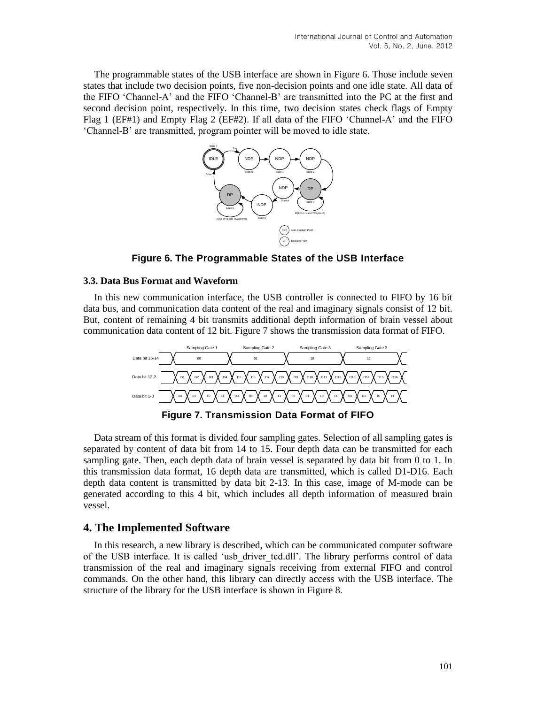The programmable states of the USB interface are shown in Figure 6. Those include seven states that include two decision points, five non-decision points and one idle state. All data of the FIFO 'Channel-A' and the FIFO 'Channel-B' are transmitted into the PC at the first and second decision point, respectively. In this time, two decision states check flags of Empty Flag 1 (EF#1) and Empty Flag 2 (EF#2). If all data of the FIFO 'Channel-A' and the FIFO 'Channel-B' are transmitted, program pointer will be moved to idle state.



**Figure 6. The Programmable States of the USB Interface**

#### **3.3. Data Bus Format and Waveform**

In this new communication interface, the USB controller is connected to FIFO by 16 bit data bus, and communication data content of the real and imaginary signals consist of 12 bit. But, content of remaining 4 bit transmits additional depth information of brain vessel about communication data content of 12 bit. Figure 7 shows the transmission data format of FIFO.



Data stream of this format is divided four sampling gates. Selection of all sampling gates is separated by content of data bit from 14 to 15. Four depth data can be transmitted for each sampling gate. Then, each depth data of brain vessel is separated by data bit from 0 to 1. In this transmission data format, 16 depth data are transmitted, which is called D1-D16. Each depth data content is transmitted by data bit 2-13. In this case, image of M-mode can be generated according to this 4 bit, which includes all depth information of measured brain vessel.

# **4. The Implemented Software**

In this research, a new library is described, which can be communicated computer software of the USB interface. It is called 'usb\_driver\_tcd.dll'. The library performs control of data transmission of the real and imaginary signals receiving from external FIFO and control commands. On the other hand, this library can directly access with the USB interface. The structure of the library for the USB interface is shown in Figure 8.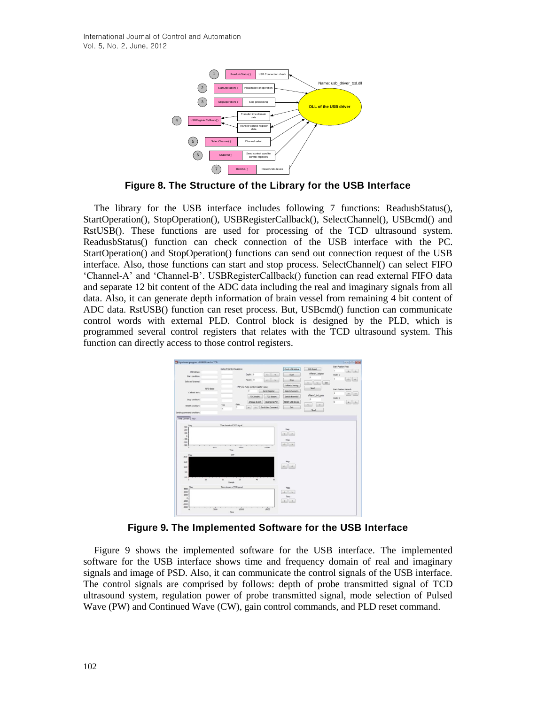

**Figure 8. The Structure of the Library for the USB Interface**

**Example 102 <b>DLL Control Control Control register** (Section 1991)<br> **Example 202 <b>DLL Control Control Control Control Transfer Control Control Reading State (Section). Slope Interiors are used for processing of the USB** The library for the USB interface includes following 7 functions: ReadusbStatus(), StartOperation(), StopOperation(), USBRegisterCallback(), SelectChannel(), USBcmd() and RstUSB(). These functions are used for processing of the TCD ultrasound system. ReadusbStatus() function can check connection of the USB interface with the PC. StartOperation() and StopOperation() functions can send out connection request of the USB interface. Also, those functions can start and stop process. SelectChannel() can select FIFO 'Channel-A' and 'Channel-B'. USBRegisterCallback() function can read external FIFO data and separate 12 bit content of the ADC data including the real and imaginary signals from all data. Also, it can generate depth information of brain vessel from remaining 4 bit content of ADC data. RstUSB() function can reset process. But, USBcmd() function can communicate control words with external PLD. Control block is designed by the PLD, which is programmed several control registers that relates with the TCD ultrasound system. This function can directly access to those control registers.



**Figure 9. The Implemented Software for the USB Interface**

Figure 9 shows the implemented software for the USB interface. The implemented software for the USB interface shows time and frequency domain of real and imaginary signals and image of PSD. Also, it can communicate the control signals of the USB interface. The control signals are comprised by follows: depth of probe transmitted signal of TCD ultrasound system, regulation power of probe transmitted signal, mode selection of Pulsed Wave (PW) and Continued Wave (CW), gain control commands, and PLD reset command.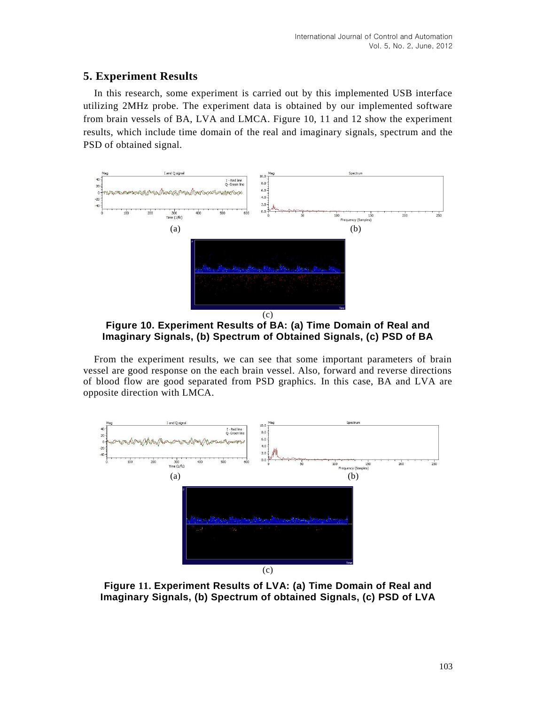# **5. Experiment Results**

In this research, some experiment is carried out by this implemented USB interface utilizing 2MHz probe. The experiment data is obtained by our implemented software from brain vessels of BA, LVA and LMCA. Figure 10, 11 and 12 show the experiment results, which include time domain of the real and imaginary signals, spectrum and the PSD of obtained signal.



**Figure 10. Experiment Results of BA: (a) Time Domain of Real and Imaginary Signals, (b) Spectrum of Obtained Signals, (c) PSD of BA**

From the experiment results, we can see that some important parameters of brain vessel are good response on the each brain vessel. Also, forward and reverse directions of blood flow are good separated from PSD graphics. In this case, BA and LVA are opposite direction with LMCA.



**Figure 11. Experiment Results of LVA: (a) Time Domain of Real and Imaginary Signals, (b) Spectrum of obtained Signals, (c) PSD of LVA**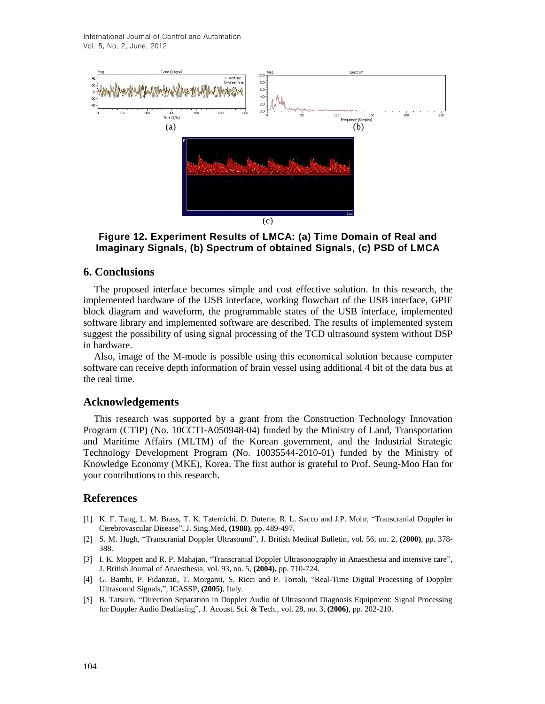International Journal of Control and Automation Vol. 5, No. 2, June, 2012



**Figure 12. Experiment Results of LMCA: (a) Time Domain of Real and Imaginary Signals, (b) Spectrum of obtained Signals, (c) PSD of LMCA**

### **6. Conclusions**

The proposed interface becomes simple and cost effective solution. In this research, the implemented hardware of the USB interface, working flowchart of the USB interface, GPIF block diagram and waveform, the programmable states of the USB interface, implemented software library and implemented software are described. The results of implemented system suggest the possibility of using signal processing of the TCD ultrasound system without DSP in hardware.

Also, image of the M-mode is possible using this economical solution because computer software can receive depth information of brain vessel using additional 4 bit of the data bus at the real time.

#### **Acknowledgements**

This research was supported by a grant from the Construction Technology Innovation Program (CTIP) (No. 10CCTI-A050948-04) funded by the Ministry of Land, Transportation and Maritime Affairs (MLTM) of the Korean government, and the Industrial Strategic Technology Development Program (No. 10035544-2010-01) funded by the Ministry of Knowledge Economy (MKE), Korea. The first author is grateful to Prof. Seung-Moo Han for your contributions to this research.

# **References**

- [1] K. F. Tang, L. M. Brass, T. K. Tatemichi, D. Duterte, R. L. Sacco and J.P. Mohr, "Transcranial Doppler in Cerebrovascular Disease", J. Sing.Med, **(1988)**, pp. 489-497.
- [2] S. M. Hugh, "Transcranial Doppler Ultrasound", J. British Medical Bulletin, vol. 56, no. 2, **(2000)**, pp. 378- 388.
- [3] I. K. Moppett and R. P. Mahajan, "Transcranial Doppler Ultrasonography in Anaesthesia and intensive care", J. British Journal of Anaesthesia, vol. 93, no. 5, **(2004),** pp. 710-724.
- [4] G. Bambi, P. Fidanzati, T. Morganti, S. Ricci and P. Tortoli, "Real-Time Digital Processing of Doppler Ultrasound Signals,", ICASSP, **(2005)**, Italy.
- [5] B. Tatsuro, "Direction Separation in Doppler Audio of Ultrasound Diagnosis Equipment: Signal Processing for Doppler Audio Dealiasing", J. Acoust. Sci. & Tech., vol. 28, no. 3, **(2006)**, pp. 202-210.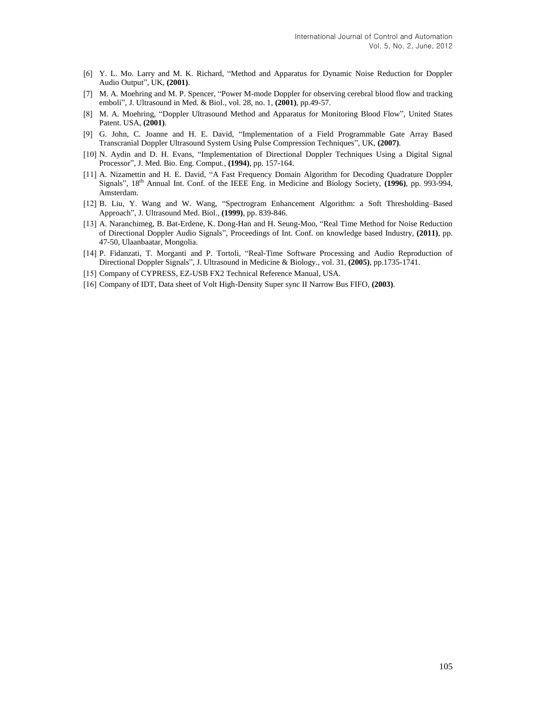- [6] Y. L. Mo. Larry and M. K. Richard, "Method and Apparatus for Dynamic Noise Reduction for Doppler Audio Output", UK, **(2001)**.
- [7] M. A. Moehring and M. P. Spencer, "Power M-mode Doppler for observing cerebral blood flow and tracking emboli", J. Ultrasound in Med. & Biol., vol. 28, no. 1, **(2001)**, pp.49-57.
- [8] M. A. Moehring, "Doppler Ultrasound Method and Apparatus for Monitoring Blood Flow", United States Patent. USA, **(2001)**.
- [9] G. John, C. Joanne and H. E. David, "Implementation of a Field Programmable Gate Array Based Transcranial Doppler Ultrasound System Using Pulse Compression Techniques", UK, **(2007)**.
- [10] N. Aydin and D. H. Evans, "Implementation of Directional Doppler Techniques Using a Digital Signal Processor", J. Med. Bio. Eng. Comput., **(1994)**, pp. 157-164.
- [11] A. Nizamettin and H. E. David, "A Fast Frequency Domain Algorithm for Decoding Quadrature Doppler Signals", 18th Annual Int. Conf. of the IEEE Eng. in Medicine and Biology Society, **(1996)**, pp. 993-994, Amsterdam.
- [12] B. Liu, Y. Wang and W. Wang, "Spectrogram Enhancement Algorithm: a Soft Thresholding–Based Approach", J. Ultrasound Med. Biol., **(1999)**, pp. 839-846.
- [13] A. Naranchimeg, B. Bat-Erdene, K. Dong-Han and H. Seung-Moo, "Real Time Method for Noise Reduction of Directional Doppler Audio Signals", Proceedings of Int. Conf. on knowledge based Industry, **(2011)**, pp. 47-50, Ulaanbaatar, Mongolia.
- [14] P. Fidanzati, T. Morganti and P. Tortoli, "Real-Time Software Processing and Audio Reproduction of Directional Doppler Signals", J. Ultrasound in Medicine & Biology., vol. 31, **(2005)**, pp.1735-1741.
- [15] Company of CYPRESS, EZ-USB FX2 Technical Reference Manual, USA.
- [16] Company of IDT, Data sheet of Volt High-Density Super sync II Narrow Bus FIFO, **(2003)**.